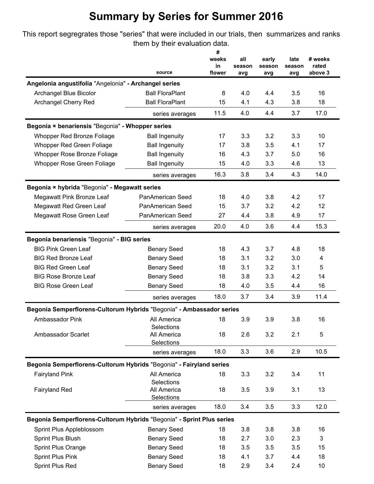This report segregrates those "series" that were included in our trials, then summarizes and ranks them by their evaluation data.

|                                                                       | source                    | #<br>weeks<br>in<br>flower | all<br>season<br>avg | early<br>season<br>avg | late<br>season<br>avg | # weeks<br>rated<br>above 3 |
|-----------------------------------------------------------------------|---------------------------|----------------------------|----------------------|------------------------|-----------------------|-----------------------------|
| Angelonia angustifolia "Angelonia" - Archangel series                 |                           |                            |                      |                        |                       |                             |
| Archangel Blue Bicolor                                                | <b>Ball FloraPlant</b>    | 8                          | 4.0                  | 4.4                    | 3.5                   | 16                          |
| Archangel Cherry Red                                                  | <b>Ball FloraPlant</b>    | 15                         | 4.1                  | 4.3                    | 3.8                   | 18                          |
|                                                                       | series averages           | 11.5                       | 4.0                  | 4.4                    | 3.7                   | 17.0                        |
| Begonia × benariensis "Begonia" - Whopper series                      |                           |                            |                      |                        |                       |                             |
| Whopper Red Bronze Foliage                                            | <b>Ball Ingenuity</b>     | 17                         | 3.3                  | 3.2                    | 3.3                   | 10                          |
| Whopper Red Green Foliage                                             | <b>Ball Ingenuity</b>     | 17                         | 3.8                  | 3.5                    | 4.1                   | 17                          |
| Whopper Rose Bronze Foliage                                           | <b>Ball Ingenuity</b>     | 16                         | 4.3                  | 3.7                    | 5.0                   | 16                          |
| Whopper Rose Green Foliage                                            | <b>Ball Ingenuity</b>     | 15                         | 4.0                  | 3.3                    | 4.6                   | 13                          |
|                                                                       | series averages           | 16.3                       | 3.8                  | 3.4                    | 4.3                   | 14.0                        |
| Begonia × hybrida "Begonia" - Megawatt series                         |                           |                            |                      |                        |                       |                             |
| Megawatt Pink Bronze Leaf                                             | PanAmerican Seed          | 18                         | 4.0                  | 3.8                    | 4.2                   | 17                          |
| Megawatt Red Green Leaf                                               | <b>PanAmerican Seed</b>   | 15                         | 3.7                  | 3.2                    | 4.2                   | 12                          |
| Megawatt Rose Green Leaf                                              | PanAmerican Seed          | 27                         | 4.4                  | 3.8                    | 4.9                   | 17                          |
|                                                                       | series averages           | 20.0                       | 4.0                  | 3.6                    | 4.4                   | 15.3                        |
| Begonia benariensis "Begonia" - BIG series                            |                           |                            |                      |                        |                       |                             |
| <b>BIG Pink Green Leaf</b>                                            | <b>Benary Seed</b>        | 18                         | 4.3                  | 3.7                    | 4.8                   | 18                          |
| <b>BIG Red Bronze Leaf</b>                                            | <b>Benary Seed</b>        | 18                         | 3.1                  | 3.2                    | 3.0                   | 4                           |
| <b>BIG Red Green Leaf</b>                                             | <b>Benary Seed</b>        | 18                         | 3.1                  | 3.2                    | 3.1                   | 5                           |
| <b>BIG Rose Bronze Leaf</b>                                           | <b>Benary Seed</b>        | 18                         | 3.8                  | 3.3                    | 4.2                   | 14                          |
| <b>BIG Rose Green Leaf</b>                                            | <b>Benary Seed</b>        | 18                         | 4.0                  | 3.5                    | 4.4                   | 16                          |
|                                                                       | series averages           | 18.0                       | 3.7                  | 3.4                    | 3.9                   | 11.4                        |
| Begonia Semperflorens-Cultorum Hybrids "Begonia" - Ambassador series  |                           |                            |                      |                        |                       |                             |
| Ambassador Pink                                                       | All America               | 18                         | 3.9                  | 3.9                    | 3.8                   | 16                          |
|                                                                       | Selections                |                            |                      |                        |                       |                             |
| Ambassador Scarlet                                                    | All America<br>Selections | 18                         | 2.6                  | 3.2                    | 2.1                   | 5                           |
|                                                                       | series averages           | 18.0                       | 3.3                  | 3.6                    | 2.9                   | 10.5                        |
| Begonia Semperflorens-Cultorum Hybrids "Begonia" - Fairyland series   |                           |                            |                      |                        |                       |                             |
| <b>Fairyland Pink</b>                                                 | All America               | 18                         | 3.3                  | 3.2                    | 3.4                   | 11                          |
|                                                                       | Selections                |                            |                      |                        |                       |                             |
| <b>Fairyland Red</b>                                                  | All America               | 18                         | 3.5                  | 3.9                    | 3.1                   | 13                          |
|                                                                       | Selections                |                            |                      |                        |                       |                             |
|                                                                       | series averages           | 18.0                       | 3.4                  | 3.5                    | 3.3                   | 12.0                        |
| Begonia Semperflorens-Cultorum Hybrids "Begonia" - Sprint Plus series |                           |                            |                      |                        |                       |                             |
| Sprint Plus Appleblossom                                              | <b>Benary Seed</b>        | 18                         | 3.8                  | 3.8                    | 3.8                   | 16                          |
| <b>Sprint Plus Blush</b>                                              | <b>Benary Seed</b>        | 18                         | 2.7                  | 3.0                    | 2.3                   | 3                           |
| Sprint Plus Orange                                                    | <b>Benary Seed</b>        | 18                         | 3.5                  | 3.5                    | 3.5                   | 15                          |
| <b>Sprint Plus Pink</b>                                               | <b>Benary Seed</b>        | 18                         | 4.1                  | 3.7                    | 4.4                   | 18                          |
| Sprint Plus Red                                                       | <b>Benary Seed</b>        | 18                         | 2.9                  | 3.4                    | 2.4                   | 10                          |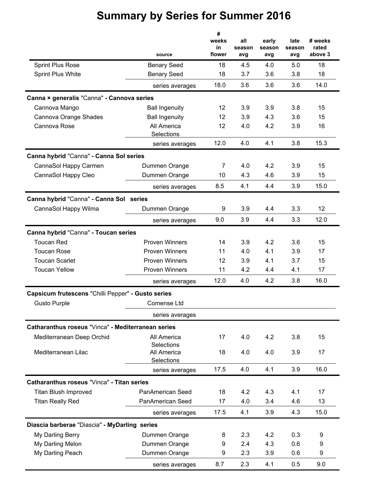|                                                    | source                    | #<br>weeks<br>in<br>flower | all<br>season<br>avg | early<br>season<br>avg | late<br>season<br>avg | # weeks<br>rated<br>above 3 |
|----------------------------------------------------|---------------------------|----------------------------|----------------------|------------------------|-----------------------|-----------------------------|
| <b>Sprint Plus Rose</b>                            | <b>Benary Seed</b>        | 18                         | 4.5                  | 4.0                    | 5.0                   | 18                          |
| <b>Sprint Plus White</b>                           | <b>Benary Seed</b>        | 18                         | 3.7                  | 3.6                    | 3.8                   | 18                          |
|                                                    | series averages           | 18.0                       | 3.6                  | 3.6                    | 3.6                   | 14.0                        |
| Canna × generalis "Canna" - Cannova series         |                           |                            |                      |                        |                       |                             |
| Cannova Mango                                      | <b>Ball Ingenuity</b>     | 12                         | 3.9                  | 3.9                    | 3.8                   | 15                          |
| Cannova Orange Shades                              | <b>Ball Ingenuity</b>     | 12                         | 3.9                  | 4.3                    | 3.6                   | 15                          |
| Cannova Rose                                       | All America<br>Selections | 12                         | 4.0                  | 4.2                    | 3.9                   | 16                          |
|                                                    | series averages           | 12.0                       | 4.0                  | 4.1                    | 3.8                   | 15.3                        |
| Canna hybrid "Canna" - Canna Sol series            |                           |                            |                      |                        |                       |                             |
| CannaSol Happy Carmen                              | Dummen Orange             | 7                          | 4.0                  | 4.2                    | 3.9                   | 15                          |
| CannaSol Happy Cleo                                | Dummen Orange             | 10                         | 4.3                  | 4.6                    | 3.9                   | 15                          |
|                                                    | series averages           | 8.5                        | 4.1                  | 4.4                    | 3.9                   | 15.0                        |
| Canna hybrid "Canna" - Canna Sol series            |                           |                            |                      |                        |                       |                             |
| CannaSol Happy Wilma                               | Dummen Orange             | 9                          | 3.9                  | 4.4                    | 3.3                   | 12 <sub>2</sub>             |
|                                                    | series averages           | 9.0                        | 3.9                  | 4.4                    | 3.3                   | 12.0                        |
| Canna hybrid "Canna" - Toucan series               |                           |                            |                      |                        |                       |                             |
| <b>Toucan Red</b>                                  | <b>Proven Winners</b>     | 14                         | 3.9                  | 4.2                    | 3.6                   | 15                          |
| <b>Toucan Rose</b>                                 | <b>Proven Winners</b>     | 11                         | 4.0                  | 4.1                    | 3.9                   | 17                          |
| <b>Toucan Scarlet</b>                              | <b>Proven Winners</b>     | 12                         | 3.9                  | 4.1                    | 3.7                   | 15                          |
| <b>Toucan Yellow</b>                               | <b>Proven Winners</b>     | 11                         | 4.2                  | 4.4                    | 4.1                   | 17                          |
|                                                    | series averages           | 12.0                       | 4.0                  | 4.2                    | 3.8                   | 16.0                        |
| Capsicum frutescens "Chilli Pepper" - Gusto series |                           |                            |                      |                        |                       |                             |
| <b>Gusto Purple</b>                                | Comense Ltd               |                            |                      |                        |                       |                             |
|                                                    | series averages           |                            |                      |                        |                       |                             |
| Catharanthus roseus "Vinca" - Mediterranean series |                           |                            |                      |                        |                       |                             |
| Mediterranean Deep Orchid                          | All America<br>Selections | 17                         | 4.0                  | 4.2                    | 3.8                   | 15                          |
| Mediterranean Lilac                                | All America<br>Selections | 18                         | 4.0                  | 4.0                    | 3.9                   | 17                          |
|                                                    | series averages           | 17.5                       | 4.0                  | 4.1                    | 3.9                   | 16.0                        |
| Catharanthus roseus "Vinca" - Titan series         |                           |                            |                      |                        |                       |                             |
| <b>Titan Blush Improved</b>                        | PanAmerican Seed          | 18                         | 4.2                  | 4.3                    | 4.1                   | 17                          |
| <b>Titan Really Red</b>                            | PanAmerican Seed          | 17                         | 4.0                  | 3.4                    | 4.6                   | 13                          |
|                                                    | series averages           | 17.5                       | 4.1                  | 3.9                    | 4.3                   | 15.0                        |
| Diascia barberae "Diascia" - MyDarling series      |                           |                            |                      |                        |                       |                             |
| My Darling Berry                                   | Dummen Orange             | 8                          | 2.3                  | 4.2                    | 0.3                   | 9                           |
| My Darling Melon                                   | Dummen Orange             | 9                          | 2.4                  | 4.3                    | 0.6                   | 9                           |
| My Darling Peach                                   | Dummen Orange             | 9                          | 2.3                  | 3.9                    | 0.6                   | 9                           |
|                                                    | series averages           | 8.7                        | 2.3                  | 4.1                    | 0.5                   | 9.0                         |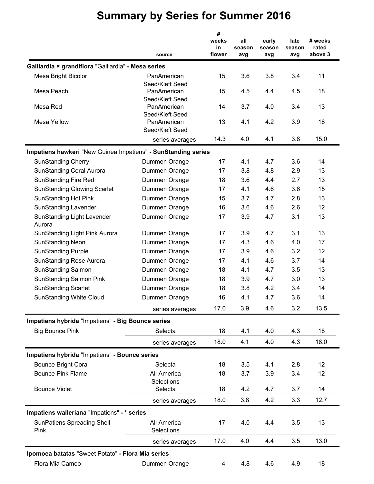|                                                               | source                         | #<br>weeks<br>in<br>flower | all<br>season<br>avg | early<br>season<br>avg | late<br>season<br>avg | # weeks<br>rated<br>above 3 |
|---------------------------------------------------------------|--------------------------------|----------------------------|----------------------|------------------------|-----------------------|-----------------------------|
| Gaillardia × grandiflora "Gaillardia" - Mesa series           |                                |                            |                      |                        |                       |                             |
| Mesa Bright Bicolor                                           | PanAmerican                    | 15                         | 3.6                  | 3.8                    | 3.4                   | 11                          |
|                                                               | Seed/Kieft Seed                |                            |                      |                        |                       |                             |
| Mesa Peach                                                    | PanAmerican<br>Seed/Kieft Seed | 15                         | 4.5                  | 4.4                    | 4.5                   | 18                          |
| Mesa Red                                                      | PanAmerican                    | 14                         | 3.7                  | 4.0                    | 3.4                   | 13                          |
|                                                               | Seed/Kieft Seed                |                            |                      |                        |                       |                             |
| <b>Mesa Yellow</b>                                            | PanAmerican                    | 13                         | 4.1                  | 4.2                    | 3.9                   | 18                          |
|                                                               | Seed/Kieft Seed                |                            |                      |                        |                       |                             |
|                                                               | series averages                | 14.3                       | 4.0                  | 4.1                    | 3.8                   | 15.0                        |
| Impatiens hawkeri "New Guinea Impatiens" - SunStanding series |                                |                            |                      |                        |                       |                             |
| <b>SunStanding Cherry</b>                                     | Dummen Orange                  | 17                         | 4.1                  | 4.7                    | 3.6                   | 14                          |
| <b>SunStanding Coral Aurora</b>                               | Dummen Orange                  | 17                         | 3.8                  | 4.8                    | 2.9                   | 13                          |
| <b>SunStanding Fire Red</b>                                   | Dummen Orange                  | 18                         | 3.6                  | 4.4                    | 2.7                   | 13                          |
| <b>SunStanding Glowing Scarlet</b>                            | Dummen Orange                  | 17                         | 4.1                  | 4.6                    | 3.6                   | 15                          |
| <b>SunStanding Hot Pink</b>                                   | Dummen Orange                  | 15                         | 3.7                  | 4.7                    | 2.8                   | 13                          |
| <b>SunStanding Lavender</b>                                   | Dummen Orange                  | 16                         | 3.6                  | 4.6                    | 2.6                   | 12                          |
| <b>SunStanding Light Lavender</b><br>Aurora                   | Dummen Orange                  | 17                         | 3.9                  | 4.7                    | 3.1                   | 13                          |
| <b>SunStanding Light Pink Aurora</b>                          | Dummen Orange                  | 17                         | 3.9                  | 4.7                    | 3.1                   | 13                          |
| <b>SunStanding Neon</b>                                       | Dummen Orange                  | 17                         | 4.3                  | 4.6                    | 4.0                   | 17                          |
| <b>SunStanding Purple</b>                                     | Dummen Orange                  | 17                         | 3.9                  | 4.6                    | 3.2                   | 12                          |
| <b>SunStanding Rose Aurora</b>                                | Dummen Orange                  | 17                         | 4.1                  | 4.6                    | 3.7                   | 14                          |
| <b>SunStanding Salmon</b>                                     | Dummen Orange                  | 18                         | 4.1                  | 4.7                    | 3.5                   | 13                          |
| <b>SunStanding Salmon Pink</b>                                | Dummen Orange                  | 18                         | 3.9                  | 4.7                    | 3.0                   | 13                          |
| <b>SunStanding Scarlet</b>                                    | Dummen Orange                  | 18                         | 3.8                  | 4.2                    | 3.4                   | 14                          |
| <b>SunStanding White Cloud</b>                                | Dummen Orange                  | 16                         | 4.1                  | 4.7                    | 3.6                   | 14                          |
|                                                               | series averages                | 17.0                       | 3.9                  | 4.6                    | 3.2                   | 13.5                        |
| Impatiens hybrida "Impatiens" - Big Bounce series             |                                |                            |                      |                        |                       |                             |
| <b>Big Bounce Pink</b>                                        | Selecta                        | 18                         | 4.1                  | 4.0                    | 4.3                   | 18                          |
|                                                               | series averages                | 18.0                       | 4.1                  | 4.0                    | 4.3                   | 18.0                        |
| Impatiens hybrida "Impatiens" - Bounce series                 |                                |                            |                      |                        |                       |                             |
| <b>Bounce Bright Coral</b>                                    | Selecta                        | 18                         | 3.5                  | 4.1                    | 2.8                   | 12                          |
| <b>Bounce Pink Flame</b>                                      | All America                    | 18                         | 3.7                  | 3.9                    | 3.4                   | 12                          |
|                                                               | Selections                     |                            |                      |                        |                       |                             |
| <b>Bounce Violet</b>                                          | Selecta                        | 18                         | 4.2                  | 4.7                    | 3.7                   | 14                          |
|                                                               | series averages                | 18.0                       | 3.8                  | 4.2                    | 3.3                   | 12.7                        |
| Impatiens walleriana "Impatiens" - * series                   |                                |                            |                      |                        |                       |                             |
| <b>SunPatiens Spreading Shell</b>                             | All America                    | 17                         | 4.0                  | 4.4                    | 3.5                   | 13                          |
| Pink                                                          | Selections                     |                            |                      |                        |                       |                             |
|                                                               | series averages                | 17.0                       | 4.0                  | 4.4                    | 3.5                   | 13.0                        |
| Ipomoea batatas "Sweet Potato" - Flora Mia series             |                                |                            |                      |                        |                       |                             |
| Flora Mia Cameo                                               | Dummen Orange                  | 4                          | 4.8                  | 4.6                    | 4.9                   | 18                          |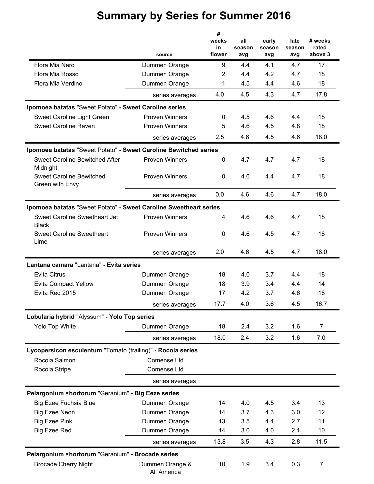|                                                                   |                                                | #                     |                      |                        |                       |                             |
|-------------------------------------------------------------------|------------------------------------------------|-----------------------|----------------------|------------------------|-----------------------|-----------------------------|
|                                                                   | source                                         | weeks<br>in<br>flower | all<br>season<br>avg | early<br>season<br>avg | late<br>season<br>avg | # weeks<br>rated<br>above 3 |
| Flora Mia Nero                                                    |                                                | 9                     | 4.4                  | 4.1                    | 4.7                   | 17                          |
| Flora Mia Rosso                                                   | Dummen Orange<br>Dummen Orange                 | $\overline{2}$        | 4.4                  | 4.2                    | 4.7                   | 18                          |
| Flora Mia Verdino                                                 | Dummen Orange                                  | 1                     | 4.5                  | 4.4                    | 4.6                   | 18                          |
|                                                                   | series averages                                | 4.0                   | 4.5                  | 4.3                    | 4.7                   | 17.8                        |
|                                                                   |                                                |                       |                      |                        |                       |                             |
| Ipomoea batatas "Sweet Potato" - Sweet Caroline series            |                                                |                       |                      |                        |                       |                             |
| Sweet Caroline Light Green<br><b>Sweet Caroline Raven</b>         | <b>Proven Winners</b><br><b>Proven Winners</b> | 0<br>5                | 4.5<br>4.6           | 4.6<br>4.5             | 4.4<br>4.8            | 18<br>18                    |
|                                                                   |                                                | 2.5                   | 4.6                  | 4.5                    | 4.6                   | 18.0                        |
|                                                                   | series averages                                |                       |                      |                        |                       |                             |
| Ipomoea batatas "Sweet Potato" - Sweet Caroline Bewitched series  |                                                |                       |                      |                        |                       |                             |
| <b>Sweet Caroline Bewitched After</b><br>Midnight                 | <b>Proven Winners</b>                          | 0                     | 4.7                  | 4.7                    | 4.7                   | 18                          |
| <b>Sweet Caroline Bewitched</b><br>Green with Envy                | <b>Proven Winners</b>                          | 0                     | 4.6                  | 4.4                    | 4.7                   | 18                          |
|                                                                   | series averages                                | 0.0                   | 4.6                  | 4.6                    | 4.7                   | 18.0                        |
| Ipomoea batatas "Sweet Potato" - Sweet Caroline Sweetheart series |                                                |                       |                      |                        |                       |                             |
| Sweet Caroline Sweetheart Jet<br><b>Black</b>                     | <b>Proven Winners</b>                          | 4                     | 4.6                  | 4.6                    | 4.7                   | 18                          |
| <b>Sweet Caroline Sweetheart</b><br>Lime                          | <b>Proven Winners</b>                          | $\mathbf{0}$          | 4.6                  | 4.5                    | 4.7                   | 18                          |
|                                                                   | series averages                                | 2.0                   | 4.6                  | 4.5                    | 4.7                   | 18.0                        |
| Lantana camara "Lantana" - Evita series                           |                                                |                       |                      |                        |                       |                             |
| <b>Evita Citrus</b>                                               | Dummen Orange                                  | 18                    | 4.0                  | 3.7                    | 4.4                   | 18                          |
| <b>Evita Compact Yellow</b>                                       | Dummen Orange                                  | 18                    | 3.9                  | 3.4                    | 4.4                   | 14                          |
| Evita Red 2015                                                    | Dummen Orange                                  | 17                    | 4.2                  | 3.7                    | 4.6                   | 18                          |
|                                                                   | series averages                                | 17.7                  | 4.0                  | 3.6                    | 4.5                   | 16.7                        |
| Lobularia hybrid "Alyssum" - Yolo Top series                      |                                                |                       |                      |                        |                       |                             |
| Yolo Top White                                                    | Dummen Orange                                  | 18                    | 2.4                  | 3.2                    | 1.6                   | 7                           |
|                                                                   | series averages                                | 18.0                  | 2.4                  | 3.2                    | 1.6                   | 7.0                         |
| Lycopersicon esculentum "Tomato (trailing)" - Rocola series       |                                                |                       |                      |                        |                       |                             |
| Rocola Salmon                                                     | Comense Ltd                                    |                       |                      |                        |                       |                             |
| Rocola Stripe                                                     | Comense Ltd                                    |                       |                      |                        |                       |                             |
|                                                                   | series averages                                |                       |                      |                        |                       |                             |
| Pelargonium ×hortorum "Geranium" - Big Eeze series                |                                                |                       |                      |                        |                       |                             |
| <b>Big Ezee Fuchsia Blue</b>                                      | Dummen Orange                                  | 14                    | 4.0                  | 4.5                    | 3.4                   | 13                          |
| <b>Big Ezee Neon</b>                                              | Dummen Orange                                  | 14                    | 3.7                  | 4.3                    | 3.0                   | 12                          |
| <b>Big Ezee Pink</b>                                              | Dummen Orange                                  | 13                    | 3.5                  | 4.4                    | 2.7                   | 11                          |
| <b>Big Ezee Red</b>                                               | Dummen Orange                                  | 14                    | 3.0                  | 4.0                    | 2.1                   | 10                          |
|                                                                   | series averages                                | 13.8                  | 3.5                  | 4.3                    | 2.8                   | 11.5                        |
| Pelargonium ×hortorum "Geranium" - Brocade series                 |                                                |                       |                      |                        |                       |                             |
| <b>Brocade Cherry Night</b>                                       | Dummen Orange &<br>All America                 | 10                    | 1.9                  | 3.4                    | 0.3                   | 7                           |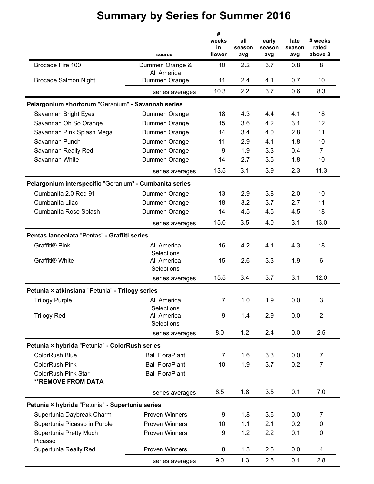|                                                         |                        | #<br>weeks<br>all<br>in<br>season<br>flower<br>avg |     |                 |                |                  |
|---------------------------------------------------------|------------------------|----------------------------------------------------|-----|-----------------|----------------|------------------|
|                                                         |                        |                                                    |     | early<br>season | late<br>season | # weeks<br>rated |
|                                                         | source                 |                                                    |     | avg             | avg            | above 3          |
| Brocade Fire 100                                        | Dummen Orange &        | 10                                                 | 2.2 | 3.7             | 0.8            | 8                |
|                                                         | All America            |                                                    |     |                 |                |                  |
| <b>Brocade Salmon Night</b>                             | Dummen Orange          | 11                                                 | 2.4 | 4.1             | 0.7            | 10               |
|                                                         | series averages        | 10.3                                               | 2.2 | 3.7             | 0.6            | 8.3              |
| Pelargonium ×hortorum "Geranium" - Savannah series      |                        |                                                    |     |                 |                |                  |
| Savannah Bright Eyes                                    | Dummen Orange          | 18                                                 | 4.3 | 4.4             | 4.1            | 18               |
| Savannah Oh So Orange                                   | Dummen Orange          | 15                                                 | 3.6 | 4.2             | 3.1            | 12               |
| Savannah Pink Splash Mega                               | Dummen Orange          | 14                                                 | 3.4 | 4.0             | 2.8            | 11               |
| Savannah Punch                                          | Dummen Orange          | 11                                                 | 2.9 | 4.1             | 1.8            | 10               |
| Savannah Really Red                                     | Dummen Orange          | 9                                                  | 1.9 | 3.3             | 0.4            | $\overline{7}$   |
| Savannah White                                          | Dummen Orange          | 14                                                 | 2.7 | 3.5             | 1.8            | 10               |
|                                                         | series averages        | 13.5                                               | 3.1 | 3.9             | 2.3            | 11.3             |
| Pelargonium interspecific "Geranium" - Cumbanita series |                        |                                                    |     |                 |                |                  |
| Cumbanita 2.0 Red 91                                    | Dummen Orange          | 13                                                 | 2.9 | 3.8             | 2.0            | 10               |
| Cumbanita Lilac                                         | Dummen Orange          | 18                                                 | 3.2 | 3.7             | 2.7            | 11               |
| Cumbanita Rose Splash                                   | Dummen Orange          | 14                                                 | 4.5 | 4.5             | 4.5            | 18               |
|                                                         | series averages        | 15.0                                               | 3.5 | 4.0             | 3.1            | 13.0             |
| Pentas lanceolata "Pentas" - Graffiti series            |                        |                                                    |     |                 |                |                  |
| Graffiti® Pink                                          | All America            | 16                                                 | 4.2 | 4.1             | 4.3            | 18               |
|                                                         | Selections             |                                                    |     |                 |                |                  |
| Graffiti® White                                         | All America            | 15                                                 | 2.6 | 3.3             | 1.9            | 6                |
|                                                         | Selections             |                                                    |     |                 |                |                  |
|                                                         | series averages        | 15.5                                               | 3.4 | 3.7             | 3.1            | 12.0             |
| Petunia × atkinsiana "Petunia" - Trilogy series         |                        |                                                    |     |                 |                |                  |
| <b>Trilogy Purple</b>                                   | All America            | 7                                                  | 1.0 | 1.9             | 0.0            | 3                |
|                                                         | Selections             |                                                    |     |                 |                |                  |
| <b>Trilogy Red</b>                                      | All America            | 9                                                  | 1.4 | 2.9             | 0.0            | $\overline{2}$   |
|                                                         | Selections             |                                                    |     |                 |                |                  |
|                                                         | series averages        | 8.0                                                | 1.2 | 2.4             | 0.0            | 2.5              |
| Petunia × hybrida "Petunia" - ColorRush series          |                        |                                                    |     |                 |                |                  |
| ColorRush Blue                                          | <b>Ball FloraPlant</b> | 7                                                  | 1.6 | 3.3             | 0.0            | 7                |
| <b>ColorRush Pink</b>                                   | <b>Ball FloraPlant</b> | 10                                                 | 1.9 | 3.7             | 0.2            | $\overline{7}$   |
| <b>ColorRush Pink Star-</b>                             | <b>Ball FloraPlant</b> |                                                    |     |                 |                |                  |
| <b>**REMOVE FROM DATA</b>                               |                        |                                                    |     |                 |                |                  |
|                                                         | series averages        | 8.5                                                | 1.8 | 3.5             | 0.1            | 7.0              |
| Petunia × hybrida "Petunia" - Supertunia series         |                        |                                                    |     |                 |                |                  |
| Supertunia Daybreak Charm                               | <b>Proven Winners</b>  | 9                                                  | 1.8 | 3.6             | 0.0            | 7                |
| Supertunia Picasso in Purple                            | Proven Winners         | 10                                                 | 1.1 | 2.1             | 0.2            | 0                |
| <b>Supertunia Pretty Much</b>                           | <b>Proven Winners</b>  | 9                                                  | 1.2 | 2.2             | 0.1            | 0                |
| Picasso                                                 |                        |                                                    |     |                 |                |                  |
| Supertunia Really Red                                   | Proven Winners         | 8                                                  | 1.3 | 2.5             | 0.0            | 4                |
|                                                         | series averages        | 9.0                                                | 1.3 | 2.6             | 0.1            | 2.8              |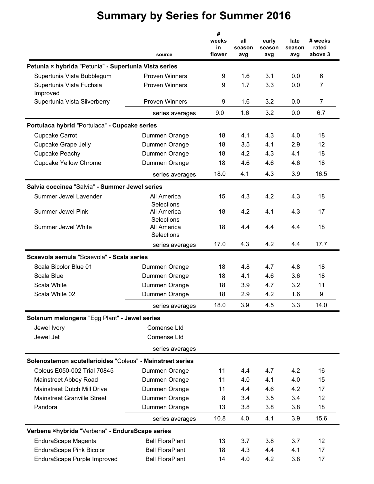|                                                           | source                    | #<br>weeks<br>in<br>flower | all<br>season<br>avg | early<br>season<br>avg | late<br>season<br>avg | # weeks<br>rated<br>above 3 |
|-----------------------------------------------------------|---------------------------|----------------------------|----------------------|------------------------|-----------------------|-----------------------------|
| Petunia × hybrida "Petunia" - Supertunia Vista series     |                           |                            |                      |                        |                       |                             |
| Supertunia Vista Bubblegum                                | <b>Proven Winners</b>     | 9                          | 1.6                  | 3.1                    | 0.0                   | 6                           |
| Supertunia Vista Fuchsia<br>Improved                      | <b>Proven Winners</b>     | 9                          | 1.7                  | 3.3                    | 0.0                   | 7                           |
| Supertunia Vista Siiverberry                              | <b>Proven Winners</b>     | 9                          | 1.6                  | 3.2                    | 0.0                   | 7                           |
|                                                           | series averages           | 9.0                        | 1.6                  | 3.2                    | 0.0                   | 6.7                         |
| Portulaca hybrid "Portulaca" - Cupcake series             |                           |                            |                      |                        |                       |                             |
| <b>Cupcake Carrot</b>                                     | Dummen Orange             | 18                         | 4.1                  | 4.3                    | 4.0                   | 18                          |
| <b>Cupcake Grape Jelly</b>                                | Dummen Orange             | 18                         | 3.5                  | 4.1                    | 2.9                   | 12                          |
| Cupcake Peachy                                            | Dummen Orange             | 18                         | 4.2                  | 4.3                    | 4.1                   | 18                          |
| <b>Cupcake Yellow Chrome</b>                              | Dummen Orange             | 18                         | 4.6                  | 4.6                    | 4.6                   | 18                          |
|                                                           | series averages           | 18.0                       | 4.1                  | 4.3                    | 3.9                   | 16.5                        |
| Salvia coccinea "Salvia" - Summer Jewel series            |                           |                            |                      |                        |                       |                             |
| Summer Jewel Lavender                                     | All America<br>Selections | 15                         | 4.3                  | 4.2                    | 4.3                   | 18                          |
| <b>Summer Jewel Pink</b>                                  | All America<br>Selections | 18                         | 4.2                  | 4.1                    | 4.3                   | 17                          |
| <b>Summer Jewel White</b>                                 | All America<br>Selections | 18                         | 4.4                  | 4.4                    | 4.4                   | 18                          |
|                                                           | series averages           | 17.0                       | 4.3                  | 4.2                    | 4.4                   | 17.7                        |
| Scaevola aemula "Scaevola" - Scala series                 |                           |                            |                      |                        |                       |                             |
| Scala Bicolor Blue 01                                     | Dummen Orange             | 18                         | 4.8                  | 4.7                    | 4.8                   | 18                          |
| Scala Blue                                                | Dummen Orange             | 18                         | 4.1                  | 4.6                    | 3.6                   | 18                          |
| Scala White                                               | Dummen Orange             | 18                         | 3.9                  | 4.7                    | 3.2                   | 11                          |
| Scala White 02                                            | Dummen Orange             | 18                         | 2.9                  | 4.2                    | 1.6                   | 9                           |
|                                                           | series averages           | 18.0                       | 3.9                  | 4.5                    | 3.3                   | 14.0                        |
| Solanum melongena "Egg Plant" - Jewel series              |                           |                            |                      |                        |                       |                             |
| Jewel Ivory                                               | Comense Ltd               |                            |                      |                        |                       |                             |
| Jewel Jet                                                 | Comense Ltd               |                            |                      |                        |                       |                             |
|                                                           | series averages           |                            |                      |                        |                       |                             |
| Solenostemon scutellarioides "Coleus" - Mainstreet series |                           |                            |                      |                        |                       |                             |
| Coleus E050-002 Trial 70845                               | Dummen Orange             | 11                         | 4.4                  | 4.7                    | 4.2                   | 16                          |
| Mainstreet Abbey Road                                     | Dummen Orange             | 11                         | 4.0                  | 4.1                    | 4.0                   | 15                          |
| <b>Mainstreet Dutch Mill Drive</b>                        | Dummen Orange             | 11                         | 4.4                  | 4.6                    | 4.2                   | 17                          |
| <b>Mainstreet Granville Street</b>                        | Dummen Orange             | 8                          | 3.4                  | 3.5                    | 3.4                   | 12                          |
| Pandora                                                   | Dummen Orange             | 13                         | 3.8                  | 3.8                    | 3.8                   | 18                          |
|                                                           | series averages           | 10.8                       | 4.0                  | 4.1                    | 3.9                   | 15.6                        |
| Verbena ×hybrida "Verbena" - EnduraScape series           |                           |                            |                      |                        |                       |                             |
| EnduraScape Magenta                                       | <b>Ball FloraPlant</b>    | 13                         | 3.7                  | 3.8                    | 3.7                   | 12                          |
| EnduraScape Pink Bicolor                                  | <b>Ball FloraPlant</b>    | 18                         | 4.3                  | 4.4                    | 4.1                   | 17                          |
| EnduraScape Purple Improved                               | <b>Ball FloraPlant</b>    | 14                         | 4.0                  | 4.2                    | 3.8                   | 17                          |